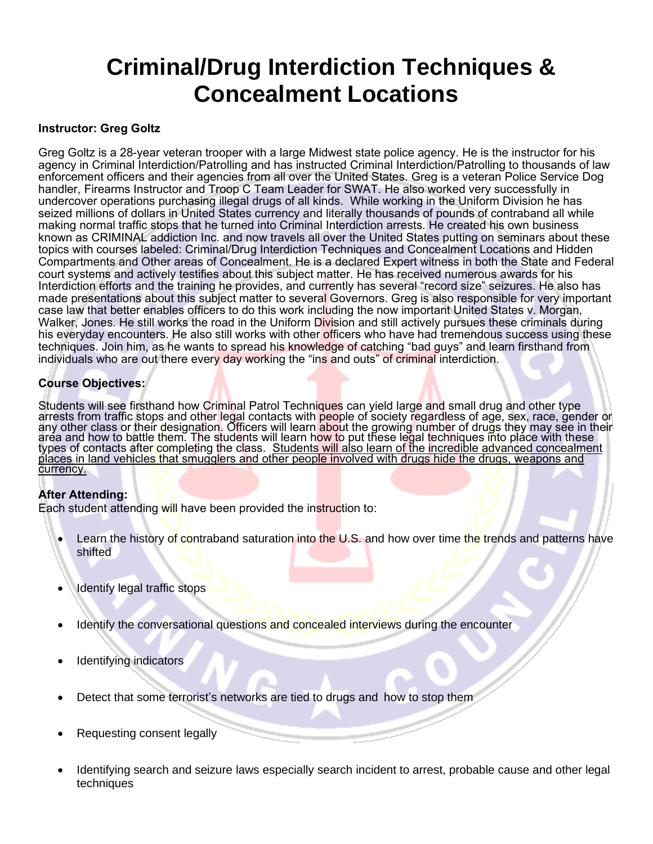### **Criminal/Drug Interdiction Techniques & Concealment Locations**

#### **Instructor: Greg Goltz**

Greg Goltz is a 28-year veteran trooper with a large Midwest state police agency. He is the instructor for his agency in Criminal Interdiction/Patrolling and has instructed Criminal Interdiction/Patrolling to thousands of law enforcement officers and their agencies from all over the United States. Greg is a veteran Police Service Dog handler, Firearms Instructor and Troop C Team Leader for SWAT. He also worked very successfully in undercover operations purchasing illegal drugs of all kinds. While working in the Uniform Division he has seized millions of dollars in United States currency and literally thousands of pounds of contraband all while making normal traffic stops that he turned into Criminal Interdiction arrests. He created his own business known as CRIMINAL addiction Inc. and now travels all over the United States putting on seminars about these topics with courses labeled: Criminal/Drug Interdiction Techniques and Concealment Locations and Hidden Compartments and Other areas of Concealment. He is a declared Expert witness in both the State and Federal court systems and actively testifies about this subject matter. He has received numerous awards for his Interdiction efforts and the training he provides, and currently has several "record size" seizures. He also has made presentations about this subject matter to several Governors. Greg is also responsible for very important case law that better enables officers to do this work including the now important United States v. Morgan, Walker, Jones. He still works the road in the Uniform Division and still actively pursues these criminals during his everyday encounters. He also still works with other officers who have had tremendous success using these techniques. Join him, as he wants to spread his knowledge of catching "bad guys" and learn firsthand from individuals who are out there every day working the "ins and outs" of criminal interdiction.

### **Course Objectives:**

Students will see firsthand how Criminal Patrol Techni<mark>ques</mark> can yield large and small drug and other type arrests from traffic stops and oth<mark>er leg</mark>al contacts with <mark>peo</mark>ple of society regardless of age, sex, race, gender or any other class or their designation. Officers will learn <mark>abo</mark>ut the growing number of drugs they may see in their aréa and how to battle them. The students will learn h<mark>ow t</mark>o put these legal techniques into place with these types of contacts afte<mark>r com</mark>pleting the class. <u>Students will also learn of the incredible advanced concealment</u> places in land vehicles that smugglers and other people involved with drugs hide the drugs, weapons and currency.

#### **After Attending:**

Each student attending will have been provided the instruction to:

- Learn the history of contraband saturation into the U.S. and how over time the trends and patterns have shifted
- Identify legal traffic stops
- Identify the conversational questions and concealed interviews during the encounter
- Identifying indicators
- Detect that some terrorist's networks are tied to drugs and how to stop them
- Requesting consent legally
- Identifying search and seizure laws especially search incident to arrest, probable cause and other legal techniques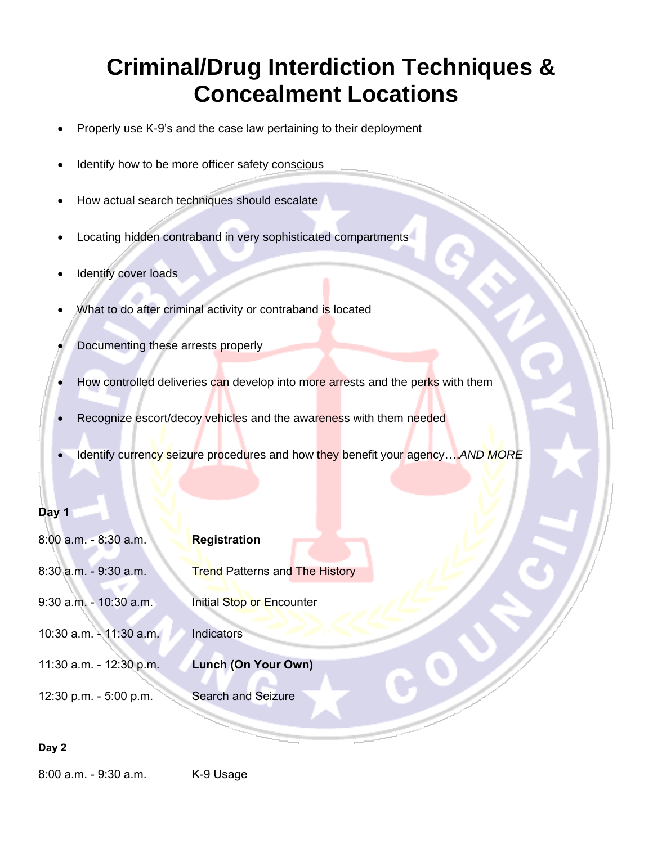# **Criminal/Drug Interdiction Techniques & Concealment Locations**

- Properly use K-9's and the case law pertaining to their deployment
- Identify how to be more officer safety conscious
- How actual search techniques should escalate
- Locating hidden contraband in very sophisticated compartments
- Identify cover loads
- What to do after criminal activity or contraband is located
- Documenting these arrests properly
- How controlled deliveries can develop into more arrests and the perks with them
- Recognize escort/decoy vehicles and the awareness with them needed
- Identify currency seizure procedures and how they benefit your agency….*AND MORE*

### **Day 1**

| 8:00 a.m. - 8:30 a.m.     | <b>Registration</b>                   |
|---------------------------|---------------------------------------|
| 8:30 a.m. - 9:30 a.m.     | <b>Trend Patterns and The History</b> |
| 9:30 a.m. - 10:30 a.m.    | Initial Stop or Encounter             |
| 10:30 a.m. - 11:30 a.m.   | Indicators                            |
| 11:30 a.m. - $12:30$ p.m. | Lunch (On Your Own)                   |
| 12:30 p.m. - 5:00 p.m.    | <b>Search and Seizure</b>             |
|                           |                                       |

### **Day 2**

8:00 a.m. - 9:30 a.m. K-9 Usage